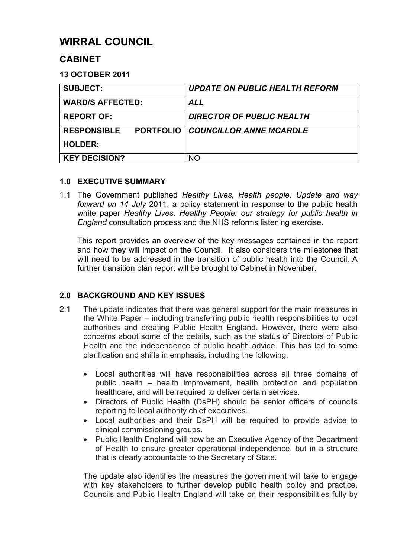# **WIRRAL COUNCIL**

## **CABINET**

## **13 OCTOBER 2011**

| <b>SUBJECT:</b>                        | <b>UPDATE ON PUBLIC HEALTH REFORM</b> |
|----------------------------------------|---------------------------------------|
| <b>WARD/S AFFECTED:</b>                | <b>ALL</b>                            |
| <b>REPORT OF:</b>                      | <b>DIRECTOR OF PUBLIC HEALTH</b>      |
| <b>RESPONSIBLE</b><br><b>PORTFOLIO</b> | <b>COUNCILLOR ANNE MCARDLE</b>        |
| <b>HOLDER:</b>                         |                                       |
| <b>KEY DECISION?</b>                   | NΟ                                    |

## **1.0 EXECUTIVE SUMMARY**

1.1 The Government published *Healthy Lives, Health people: Update and way forward on 14 July* 2011, a policy statement in response to the public health white paper *Healthy Lives, Healthy People: our strategy for public health in England* consultation process and the NHS reforms listening exercise.

 This report provides an overview of the key messages contained in the report and how they will impact on the Council. It also considers the milestones that will need to be addressed in the transition of public health into the Council. A further transition plan report will be brought to Cabinet in November.

## **2.0 BACKGROUND AND KEY ISSUES**

- 2.1 The update indicates that there was general support for the main measures in the White Paper – including transferring public health responsibilities to local authorities and creating Public Health England. However, there were also concerns about some of the details, such as the status of Directors of Public Health and the independence of public health advice. This has led to some clarification and shifts in emphasis, including the following.
	- Local authorities will have responsibilities across all three domains of public health – health improvement, health protection and population healthcare, and will be required to deliver certain services.
	- Directors of Public Health (DsPH) should be senior officers of councils reporting to local authority chief executives.
	- Local authorities and their DsPH will be required to provide advice to clinical commissioning groups.
	- Public Health England will now be an Executive Agency of the Department of Health to ensure greater operational independence, but in a structure that is clearly accountable to the Secretary of State.

The update also identifies the measures the government will take to engage with key stakeholders to further develop public health policy and practice. Councils and Public Health England will take on their responsibilities fully by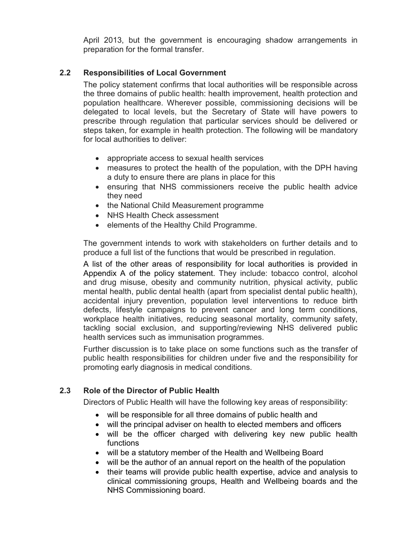April 2013, but the government is encouraging shadow arrangements in preparation for the formal transfer.

## **2.2 Responsibilities of Local Government**

The policy statement confirms that local authorities will be responsible across the three domains of public health: health improvement, health protection and population healthcare. Wherever possible, commissioning decisions will be delegated to local levels, but the Secretary of State will have powers to prescribe through regulation that particular services should be delivered or steps taken, for example in health protection. The following will be mandatory for local authorities to deliver:

- appropriate access to sexual health services
- measures to protect the health of the population, with the DPH having a duty to ensure there are plans in place for this
- ensuring that NHS commissioners receive the public health advice they need
- the National Child Measurement programme
- NHS Health Check assessment
- elements of the Healthy Child Programme.

The government intends to work with stakeholders on further details and to produce a full list of the functions that would be prescribed in regulation.

A list of the other areas of responsibility for local authorities is provided in Appendix A of the policy statement. They include: tobacco control, alcohol and drug misuse, obesity and community nutrition, physical activity, public mental health, public dental health (apart from specialist dental public health), accidental injury prevention, population level interventions to reduce birth defects, lifestyle campaigns to prevent cancer and long term conditions, workplace health initiatives, reducing seasonal mortality, community safety, tackling social exclusion, and supporting/reviewing NHS delivered public health services such as immunisation programmes.

Further discussion is to take place on some functions such as the transfer of public health responsibilities for children under five and the responsibility for promoting early diagnosis in medical conditions.

## **2.3 Role of the Director of Public Health**

Directors of Public Health will have the following key areas of responsibility:

- will be responsible for all three domains of public health and
- will the principal adviser on health to elected members and officers
- will be the officer charged with delivering key new public health functions
- will be a statutory member of the Health and Wellbeing Board
- will be the author of an annual report on the health of the population
- their teams will provide public health expertise, advice and analysis to clinical commissioning groups, Health and Wellbeing boards and the NHS Commissioning board.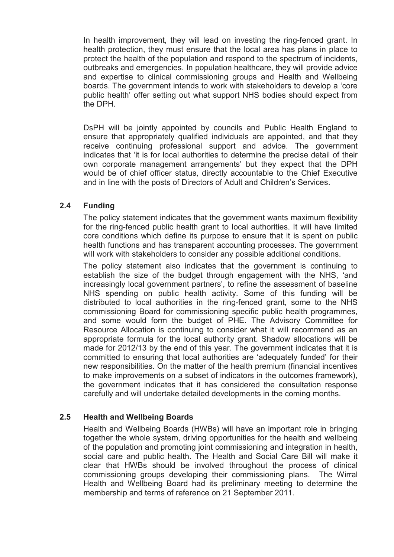In health improvement, they will lead on investing the ring-fenced grant. In health protection, they must ensure that the local area has plans in place to protect the health of the population and respond to the spectrum of incidents, outbreaks and emergencies. In population healthcare, they will provide advice and expertise to clinical commissioning groups and Health and Wellbeing boards. The government intends to work with stakeholders to develop a 'core public health' offer setting out what support NHS bodies should expect from the DPH.

DsPH will be jointly appointed by councils and Public Health England to ensure that appropriately qualified individuals are appointed, and that they receive continuing professional support and advice. The government indicates that 'it is for local authorities to determine the precise detail of their own corporate management arrangements' but they expect that the DPH would be of chief officer status, directly accountable to the Chief Executive and in line with the posts of Directors of Adult and Children's Services.

## **2.4 Funding**

The policy statement indicates that the government wants maximum flexibility for the ring-fenced public health grant to local authorities. It will have limited core conditions which define its purpose to ensure that it is spent on public health functions and has transparent accounting processes. The government will work with stakeholders to consider any possible additional conditions.

The policy statement also indicates that the government is continuing to establish the size of the budget through engagement with the NHS, 'and increasingly local government partners', to refine the assessment of baseline NHS spending on public health activity. Some of this funding will be distributed to local authorities in the ring-fenced grant, some to the NHS commissioning Board for commissioning specific public health programmes, and some would form the budget of PHE. The Advisory Committee for Resource Allocation is continuing to consider what it will recommend as an appropriate formula for the local authority grant. Shadow allocations will be made for 2012/13 by the end of this year. The government indicates that it is committed to ensuring that local authorities are 'adequately funded' for their new responsibilities. On the matter of the health premium (financial incentives to make improvements on a subset of indicators in the outcomes framework), the government indicates that it has considered the consultation response carefully and will undertake detailed developments in the coming months.

## **2.5 Health and Wellbeing Boards**

Health and Wellbeing Boards (HWBs) will have an important role in bringing together the whole system, driving opportunities for the health and wellbeing of the population and promoting joint commissioning and integration in health, social care and public health. The Health and Social Care Bill will make it clear that HWBs should be involved throughout the process of clinical commissioning groups developing their commissioning plans. The Wirral Health and Wellbeing Board had its preliminary meeting to determine the membership and terms of reference on 21 September 2011.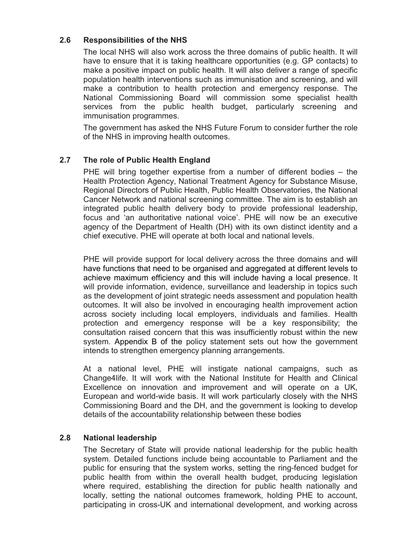## **2.6 Responsibilities of the NHS**

The local NHS will also work across the three domains of public health. It will have to ensure that it is taking healthcare opportunities (e.g. GP contacts) to make a positive impact on public health. It will also deliver a range of specific population health interventions such as immunisation and screening, and will make a contribution to health protection and emergency response. The National Commissioning Board will commission some specialist health services from the public health budget, particularly screening and immunisation programmes.

The government has asked the NHS Future Forum to consider further the role of the NHS in improving health outcomes.

## **2.7 The role of Public Health England**

PHE will bring together expertise from a number of different bodies – the Health Protection Agency, National Treatment Agency for Substance Misuse, Regional Directors of Public Health, Public Health Observatories, the National Cancer Network and national screening committee. The aim is to establish an integrated public health delivery body to provide professional leadership, focus and 'an authoritative national voice'. PHE will now be an executive agency of the Department of Health (DH) with its own distinct identity and a chief executive. PHE will operate at both local and national levels.

PHE will provide support for local delivery across the three domains and will have functions that need to be organised and aggregated at different levels to achieve maximum efficiency and this will include having a local presence. It will provide information, evidence, surveillance and leadership in topics such as the development of joint strategic needs assessment and population health outcomes. It will also be involved in encouraging health improvement action across society including local employers, individuals and families. Health protection and emergency response will be a key responsibility; the consultation raised concern that this was insufficiently robust within the new system. Appendix B of the policy statement sets out how the government intends to strengthen emergency planning arrangements.

At a national level, PHE will instigate national campaigns, such as Change4life. It will work with the National Institute for Health and Clinical Excellence on innovation and improvement and will operate on a UK, European and world-wide basis. It will work particularly closely with the NHS Commissioning Board and the DH, and the government is looking to develop details of the accountability relationship between these bodies

## **2.8 National leadership**

The Secretary of State will provide national leadership for the public health system. Detailed functions include being accountable to Parliament and the public for ensuring that the system works, setting the ring-fenced budget for public health from within the overall health budget, producing legislation where required, establishing the direction for public health nationally and locally, setting the national outcomes framework, holding PHE to account, participating in cross-UK and international development, and working across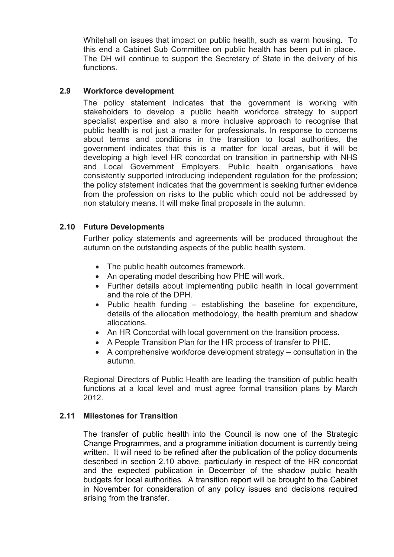Whitehall on issues that impact on public health, such as warm housing. To this end a Cabinet Sub Committee on public health has been put in place. The DH will continue to support the Secretary of State in the delivery of his functions.

## **2.9 Workforce development**

The policy statement indicates that the government is working with stakeholders to develop a public health workforce strategy to support specialist expertise and also a more inclusive approach to recognise that public health is not just a matter for professionals. In response to concerns about terms and conditions in the transition to local authorities, the government indicates that this is a matter for local areas, but it will be developing a high level HR concordat on transition in partnership with NHS and Local Government Employers. Public health organisations have consistently supported introducing independent regulation for the profession; the policy statement indicates that the government is seeking further evidence from the profession on risks to the public which could not be addressed by non statutory means. It will make final proposals in the autumn.

## **2.10 Future Developments**

Further policy statements and agreements will be produced throughout the autumn on the outstanding aspects of the public health system.

- The public health outcomes framework.
- An operating model describing how PHE will work.
- Further details about implementing public health in local government and the role of the DPH.
- Public health funding establishing the baseline for expenditure, details of the allocation methodology, the health premium and shadow allocations.
- An HR Concordat with local government on the transition process.
- A People Transition Plan for the HR process of transfer to PHE.
- A comprehensive workforce development strategy consultation in the autumn.

Regional Directors of Public Health are leading the transition of public health functions at a local level and must agree formal transition plans by March 2012.

## **2.11 Milestones for Transition**

 The transfer of public health into the Council is now one of the Strategic Change Programmes, and a programme initiation document is currently being written. It will need to be refined after the publication of the policy documents described in section 2.10 above, particularly in respect of the HR concordat and the expected publication in December of the shadow public health budgets for local authorities. A transition report will be brought to the Cabinet in November for consideration of any policy issues and decisions required arising from the transfer.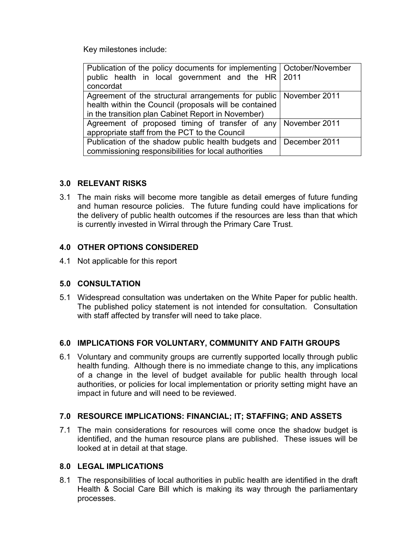Key milestones include:

| Publication of the policy documents for implementing   October/November<br>public health in local government and the HR 2011<br>concordat                                           |  |
|-------------------------------------------------------------------------------------------------------------------------------------------------------------------------------------|--|
| Agreement of the structural arrangements for public   November 2011<br>health within the Council (proposals will be contained<br>in the transition plan Cabinet Report in November) |  |
| Agreement of proposed timing of transfer of any November 2011<br>appropriate staff from the PCT to the Council                                                                      |  |
| Publication of the shadow public health budgets and   December 2011<br>commissioning responsibilities for local authorities                                                         |  |

## **3.0 RELEVANT RISKS**

3.1 The main risks will become more tangible as detail emerges of future funding and human resource policies. The future funding could have implications for the delivery of public health outcomes if the resources are less than that which is currently invested in Wirral through the Primary Care Trust.

## **4.0 OTHER OPTIONS CONSIDERED**

4.1 Not applicable for this report

## **5.0 CONSULTATION**

5.1 Widespread consultation was undertaken on the White Paper for public health. The published policy statement is not intended for consultation. Consultation with staff affected by transfer will need to take place.

## **6.0 IMPLICATIONS FOR VOLUNTARY, COMMUNITY AND FAITH GROUPS**

6.1 Voluntary and community groups are currently supported locally through public health funding. Although there is no immediate change to this, any implications of a change in the level of budget available for public health through local authorities, or policies for local implementation or priority setting might have an impact in future and will need to be reviewed.

## **7.0 RESOURCE IMPLICATIONS: FINANCIAL; IT; STAFFING; AND ASSETS**

7.1 The main considerations for resources will come once the shadow budget is identified, and the human resource plans are published. These issues will be looked at in detail at that stage.

## **8.0 LEGAL IMPLICATIONS**

8.1 The responsibilities of local authorities in public health are identified in the draft Health & Social Care Bill which is making its way through the parliamentary processes.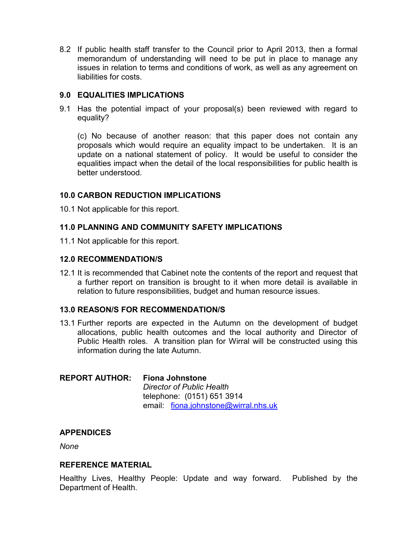8.2 If public health staff transfer to the Council prior to April 2013, then a formal memorandum of understanding will need to be put in place to manage any issues in relation to terms and conditions of work, as well as any agreement on liabilities for costs.

## **9.0 EQUALITIES IMPLICATIONS**

9.1 Has the potential impact of your proposal(s) been reviewed with regard to equality?

 (c) No because of another reason: that this paper does not contain any proposals which would require an equality impact to be undertaken. It is an update on a national statement of policy. It would be useful to consider the equalities impact when the detail of the local responsibilities for public health is better understood.

## **10.0 CARBON REDUCTION IMPLICATIONS**

10.1 Not applicable for this report.

## **11.0 PLANNING AND COMMUNITY SAFETY IMPLICATIONS**

11.1 Not applicable for this report.

## **12.0 RECOMMENDATION/S**

12.1 It is recommended that Cabinet note the contents of the report and request that a further report on transition is brought to it when more detail is available in relation to future responsibilities, budget and human resource issues.

## **13.0 REASON/S FOR RECOMMENDATION/S**

13.1 Further reports are expected in the Autumn on the development of budget allocations, public health outcomes and the local authority and Director of Public Health roles. A transition plan for Wirral will be constructed using this information during the late Autumn.

## **REPORT AUTHOR: Fiona Johnstone**

*Director of Public Health* telephone: (0151) 651 3914 email: fiona.johnstone@wirral.nhs.uk

## **APPENDICES**

*None* 

## **REFERENCE MATERIAL**

Healthy Lives, Healthy People: Update and way forward. Published by the Department of Health.